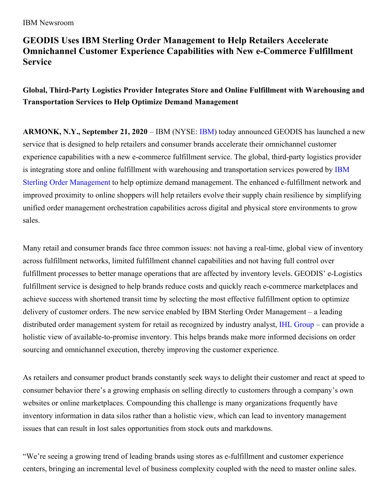# **GEODIS Uses IBM Sterling Order Management to Help Retailers Accelerate Omnichannel Customer Experience Capabilities with New e-Commerce Fulfillment Service**

## **Global, Third-Party Logistics Provider Integrates Store and Online Fulfillment with Warehousing and Transportation Services to Help Optimize Demand Management**

**ARMONK, N.Y., September 21, 2020** – IBM (NYSE: [IBM](https://c212.net/c/link/?t=0&l=en&o=2603726-1&h=1376312274&u=http%3A%2F%2Fwww.ibm.com%2Finvestor%2F&a=IBM)) today announced GEODIS has launched a new service that is designed to help retailers and consumer brands accelerate their omnichannel customer experience capabilities with a new e-commerce fulfillment service. The global, third-party logistics provider is integrating store and online fulfillment with warehousing and [transportation](https://www.ibm.com/products/order-management) services powered by IBM Sterling Order Management to help optimize demand management. The enhanced e-fulfillment network and improved proximity to online shoppers will help retailers evolve their supply chain resilience by simplifying unified order management orchestration capabilities across digital and physical store environments to grow sales.

Many retail and consumer brands face three common issues: not having a real-time, global view of inventory across fulfillment networks, limited fulfillment channel capabilities and not having full control over fulfillment processes to better manage operations that are affected by inventory levels. GEODIS' e-Logistics fulfillment service is designed to help brands reduce costs and quickly reach e-commerce marketplaces and achieve success with shortened transit time by selecting the most effective fulfillment option to optimize delivery of customer orders. The new service enabled by IBM Sterling Order Management – a leading distributed order management system for retail as recognized by industry analyst, IHL [Group](https://newsroom.ibm.com/2019-08-20-IHL-Group-Names-IBM-Order-Management-as-a-Leader-in-Order-Management-Systems-Market-for-Enabling-Unified-Commerce-in-Retail) – can provide a holistic view of available-to-promise inventory. This helps brands make more informed decisions on order sourcing and omnichannel execution, thereby improving the customer experience.

As retailers and consumer product brands constantly seek ways to delight their customer and react at speed to consumer behavior there's a growing emphasis on selling directly to customers through a company's own websites or online marketplaces. Compounding this challenge is many organizations frequently have inventory information in data silos rather than a holistic view, which can lead to inventory management issues that can result in lost sales opportunities from stock outs and markdowns.

"We're seeing a growing trend of leading brands using stores as e-fulfillment and customer experience centers, bringing an incremental level of business complexity coupled with the need to master online sales.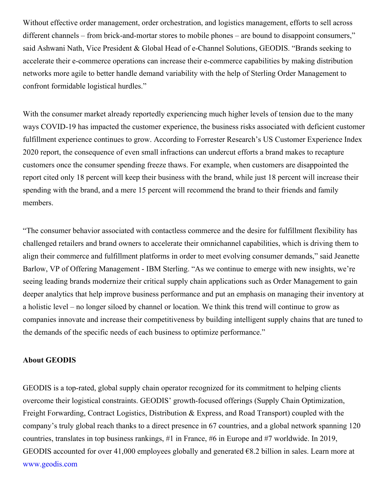Without effective order management, order orchestration, and logistics management, efforts to sell across different channels – from brick-and-mortar stores to mobile phones – are bound to disappoint consumers," said Ashwani Nath, Vice President & Global Head of e-Channel Solutions, GEODIS. "Brands seeking to accelerate their e-commerce operations can increase their e-commerce capabilities by making distribution networks more agile to better handle demand variability with the help of Sterling Order Management to confront formidable logistical hurdles."

With the consumer market already reportedly experiencing much higher levels of tension due to the many ways COVID-19 has impacted the customer experience, the business risks associated with deficient customer fulfillment experience continues to grow. According to Forrester Research's US Customer Experience Index 2020 report, the consequence of even small infractions can undercut efforts a brand makes to recapture customers once the consumer spending freeze thaws. For example, when customers are disappointed the report cited only 18 percent will keep their business with the brand, while just 18 percent will increase their spending with the brand, and a mere 15 percent will recommend the brand to their friends and family members.

"The consumer behavior associated with contactless commerce and the desire for fulfillment flexibility has challenged retailers and brand owners to accelerate their omnichannel capabilities, which is driving them to align their commerce and fulfillment platforms in order to meet evolving consumer demands," said Jeanette Barlow, VP of Offering Management - IBM Sterling. "As we continue to emerge with new insights, we're seeing leading brands modernize their critical supply chain applications such as Order Management to gain deeper analytics that help improve business performance and put an emphasis on managing their inventory at a holistic level – no longer siloed by channel or location. We think this trend will continue to grow as companies innovate and increase their competitiveness by building intelligent supply chains that are tuned to the demands of the specific needs of each business to optimize performance."

#### **About GEODIS**

GEODIS is a top-rated, global supply chain operator recognized for its commitment to helping clients overcome their logistical constraints. GEODIS' growth-focused offerings (Supply Chain Optimization, Freight Forwarding, Contract Logistics, Distribution & Express, and Road Transport) coupled with the company's truly global reach thanks to a direct presence in 67 countries, and a global network spanning 120 countries, translates in top business rankings, #1 in France, #6 in Europe and #7 worldwide. In 2019, GEODIS accounted for over 41,000 employees globally and generated  $\epsilon$ 8.2 billion in sales. Learn more at [www.geodis.com](http://www.geodis.com)